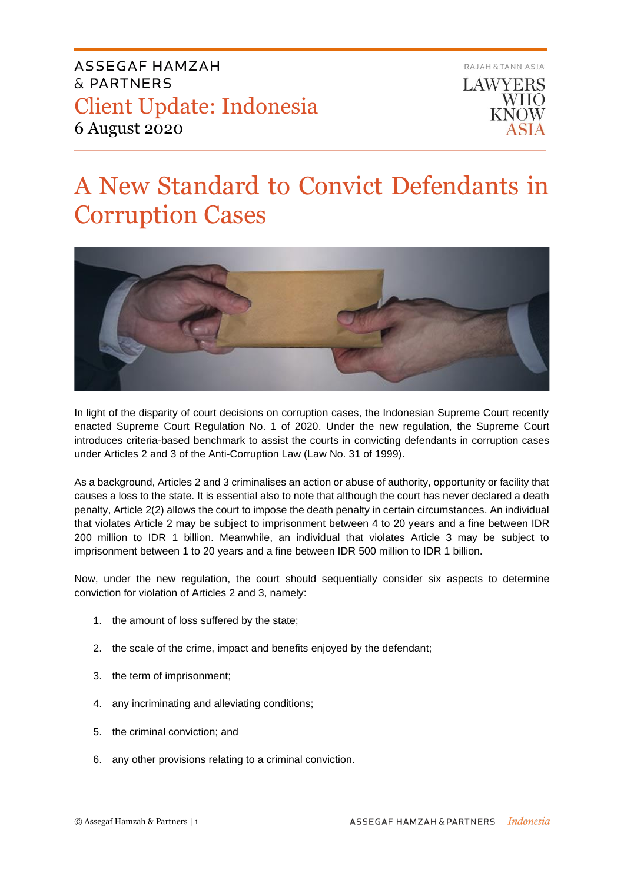

# A New Standard to Convict Defendants in Corruption Cases



In light of the disparity of court decisions on corruption cases, the Indonesian Supreme Court recently enacted Supreme Court Regulation No. 1 of 2020. Under the new regulation, the Supreme Court introduces criteria-based benchmark to assist the courts in convicting defendants in corruption cases under Articles 2 and 3 of the Anti-Corruption Law (Law No. 31 of 1999).

As a background, Articles 2 and 3 criminalises an action or abuse of authority, opportunity or facility that causes a loss to the state. It is essential also to note that although the court has never declared a death penalty, Article 2(2) allows the court to impose the death penalty in certain circumstances. An individual that violates Article 2 may be subject to imprisonment between 4 to 20 years and a fine between IDR 200 million to IDR 1 billion. Meanwhile, an individual that violates Article 3 may be subject to imprisonment between 1 to 20 years and a fine between IDR 500 million to IDR 1 billion.

Now, under the new regulation, the court should sequentially consider six aspects to determine conviction for violation of Articles 2 and 3, namely:

- 1. the amount of loss suffered by the state;
- 2. the scale of the crime, impact and benefits enjoyed by the defendant;
- 3. the term of imprisonment;
- 4. any incriminating and alleviating conditions;
- 5. the criminal conviction; and
- 6. any other provisions relating to a criminal conviction.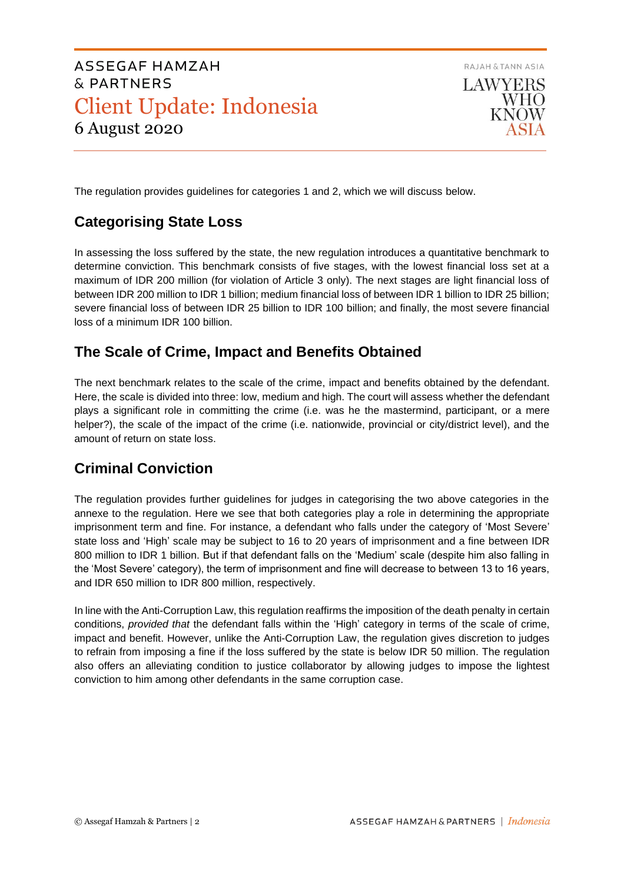

The regulation provides guidelines for categories 1 and 2, which we will discuss below.

## **Categorising State Loss**

In assessing the loss suffered by the state, the new regulation introduces a quantitative benchmark to determine conviction. This benchmark consists of five stages, with the lowest financial loss set at a maximum of IDR 200 million (for violation of Article 3 only). The next stages are light financial loss of between IDR 200 million to IDR 1 billion; medium financial loss of between IDR 1 billion to IDR 25 billion; severe financial loss of between IDR 25 billion to IDR 100 billion; and finally, the most severe financial loss of a minimum IDR 100 billion.

## **The Scale of Crime, Impact and Benefits Obtained**

The next benchmark relates to the scale of the crime, impact and benefits obtained by the defendant. Here, the scale is divided into three: low, medium and high. The court will assess whether the defendant plays a significant role in committing the crime (i.e. was he the mastermind, participant, or a mere helper?), the scale of the impact of the crime (i.e. nationwide, provincial or city/district level), and the amount of return on state loss.

## **Criminal Conviction**

The regulation provides further guidelines for judges in categorising the two above categories in the annexe to the regulation. Here we see that both categories play a role in determining the appropriate imprisonment term and fine. For instance, a defendant who falls under the category of 'Most Severe' state loss and 'High' scale may be subject to 16 to 20 years of imprisonment and a fine between IDR 800 million to IDR 1 billion. But if that defendant falls on the 'Medium' scale (despite him also falling in the 'Most Severe' category), the term of imprisonment and fine will decrease to between 13 to 16 years, and IDR 650 million to IDR 800 million, respectively.

In line with the Anti-Corruption Law, this regulation reaffirms the imposition of the death penalty in certain conditions, *provided that* the defendant falls within the 'High' category in terms of the scale of crime, impact and benefit. However, unlike the Anti-Corruption Law, the regulation gives discretion to judges to refrain from imposing a fine if the loss suffered by the state is below IDR 50 million. The regulation also offers an alleviating condition to justice collaborator by allowing judges to impose the lightest conviction to him among other defendants in the same corruption case.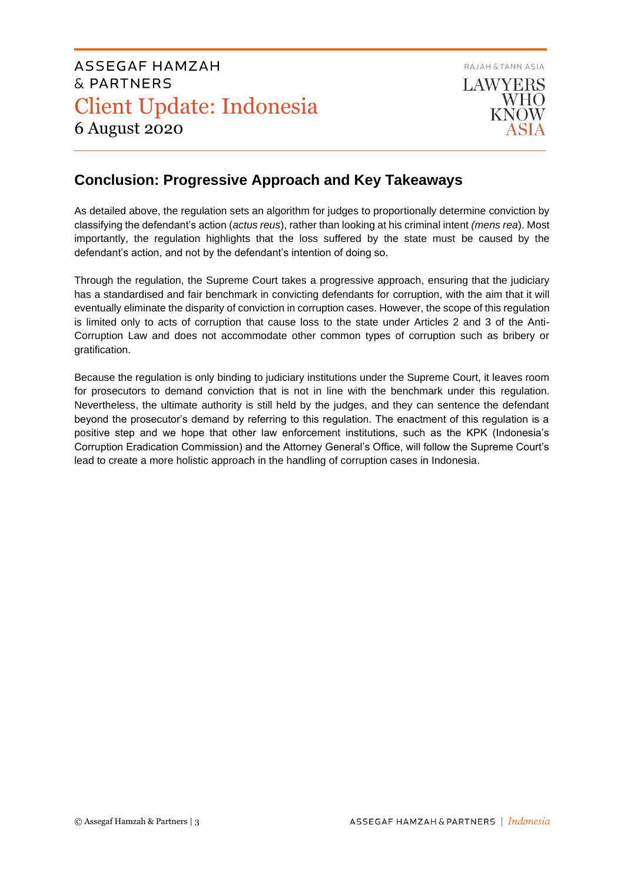

## **Conclusion: Progressive Approach and Key Takeaways**

As detailed above, the regulation sets an algorithm for judges to proportionally determine conviction by classifying the defendant's action (*actus reus*), rather than looking at his criminal intent *(mens rea*). Most importantly, the regulation highlights that the loss suffered by the state must be caused by the defendant's action, and not by the defendant's intention of doing so.

Through the regulation, the Supreme Court takes a progressive approach, ensuring that the judiciary has a standardised and fair benchmark in convicting defendants for corruption, with the aim that it will eventually eliminate the disparity of conviction in corruption cases. However, the scope of this regulation is limited only to acts of corruption that cause loss to the state under Articles 2 and 3 of the Anti-Corruption Law and does not accommodate other common types of corruption such as bribery or gratification.

Because the regulation is only binding to judiciary institutions under the Supreme Court, it leaves room for prosecutors to demand conviction that is not in line with the benchmark under this regulation. Nevertheless, the ultimate authority is still held by the judges, and they can sentence the defendant beyond the prosecutor's demand by referring to this regulation. The enactment of this regulation is a positive step and we hope that other law enforcement institutions, such as the KPK (Indonesia's Corruption Eradication Commission) and the Attorney General's Office, will follow the Supreme Court's lead to create a more holistic approach in the handling of corruption cases in Indonesia.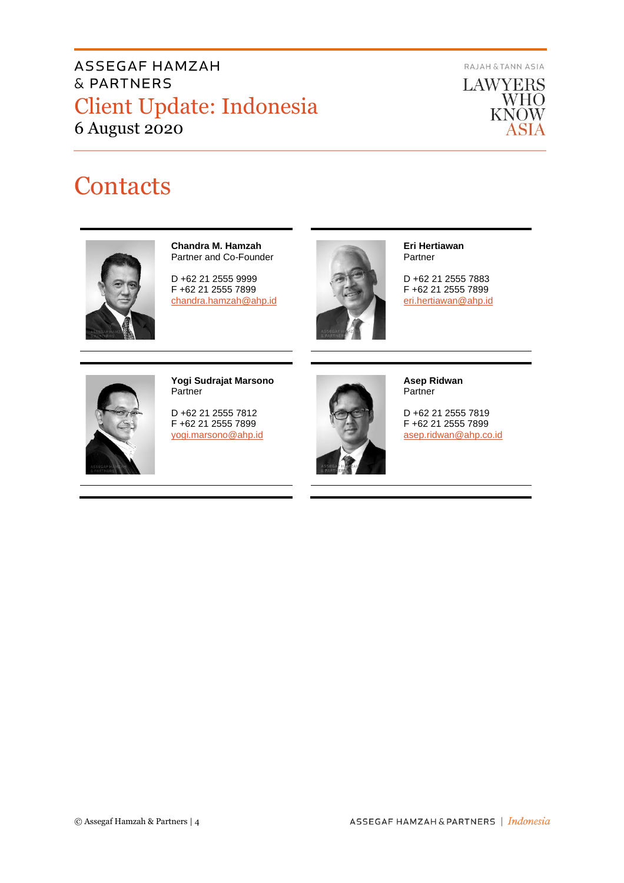RAJAH & TANN ASIA



# **Contacts**



**Chandra M. Hamzah** Partner and Co-Founder

D +62 21 2555 9999 F +62 21 2555 7899 [chandra.hamzah@ahp.id](mailto:chandra.hamzah@ahp.id)



**Eri Hertiawan** Partner

D +62 21 2555 7883 F +62 21 2555 7899 [eri.hertiawan@ahp.id](mailto:eri.hertiawan@ahp.id)



**Yogi Sudrajat Marsono** Partner

D +62 21 2555 7812 F +62 21 2555 7899 [yogi.marsono@ahp.id](mailto:yogi.marsono@ahp.id)



**Asep Ridwan** Partner

D +62 21 2555 7819 F +62 21 2555 7899 [asep.ridwan@ahp.co.id](mailto:asep.ridwan@ahp.co.id)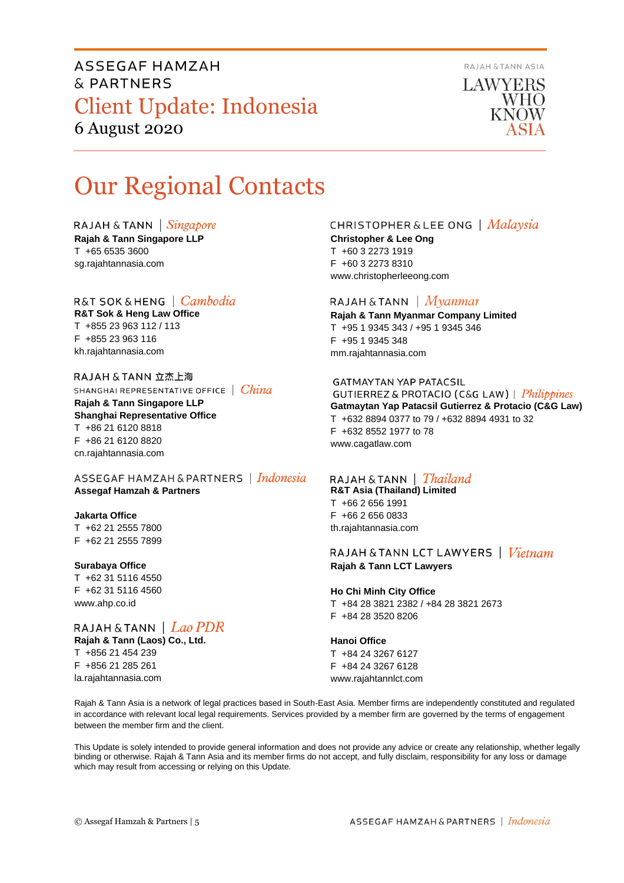

LAWYERS **WHO KNOW** 

# Our Regional Contacts

RAJAH & TANN  $\int$  *Singapore* 

**Rajah & Tann Singapore LLP** T +65 6535 3600 sg.rajahtannasia.com

### R&T SOK&HENG | *Cambodia*

**R&T Sok & Heng Law Office** T +855 23 963 112 / 113 F +855 23 963 116 kh.rajahtannasia.com

RAJAH & TANN 立杰上海 SHANGHAI REPRESENTATIVE OFFICE | China **Rajah & Tann Singapore LLP Shanghai Representative Office** T +86 21 6120 8818 F +86 21 6120 8820 cn.rajahtannasia.com

ASSEGAF HAMZAH & PARTNERS | Indonesia **Assegaf Hamzah & Partners**

#### **Jakarta Office**

T +62 21 2555 7800 F +62 21 2555 7899

#### **Surabaya Office**

T +62 31 5116 4550 F +62 31 5116 4560 www.ahp.co.id

RAJAH & TANN | Lao PDR **Rajah & Tann (Laos) Co., Ltd.** T +856 21 454 239 F +856 21 285 261 la.rajahtannasia.com

### **CHRISTOPHER & LEE ONG** | Malaysia

**Christopher & Lee Ong** T +60 3 2273 1919 F +60 3 2273 8310 www.christopherleeong.com

#### RAJAH & TANN  $\mid$  *Myanmar*

**Rajah & Tann Myanmar Company Limited** T +95 1 9345 343 / +95 1 9345 346 F +95 1 9345 348 mm.rajahtannasia.com

#### **GATMAYTAN YAP PATACSIL**

GUTIERREZ & PROTACIO (C&G LAW) | Philippines **Gatmaytan Yap Patacsil Gutierrez & Protacio (C&G Law)**  T +632 8894 0377 to 79 / +632 8894 4931 to 32 F +632 8552 1977 to 78 www.cagatlaw.com

### RAJAH & TANN | Thailand

**R&T Asia (Thailand) Limited** T +66 2 656 1991 F +66 2 656 0833 th.rajahtannasia.com

RAJAH & TANN LCT LAWYERS | Vietnam **Rajah & Tann LCT Lawyers**

#### **Ho Chi Minh City Office** T +84 28 3821 2382 / +84 28 3821 2673 F +84 28 3520 8206

**Hanoi Office**

T +84 24 3267 6127 F +84 24 3267 6128 www.rajahtannlct.com

Rajah & Tann Asia is a network of legal practices based in South-East Asia. Member firms are independently constituted and regulated in accordance with relevant local legal requirements. Services provided by a member firm are governed by the terms of engagement between the member firm and the client.

This Update is solely intended to provide general information and does not provide any advice or create any relationship, whether legally binding or otherwise. Rajah & Tann Asia and its member firms do not accept, and fully disclaim, responsibility for any loss or damage which may result from accessing or relying on this Update.